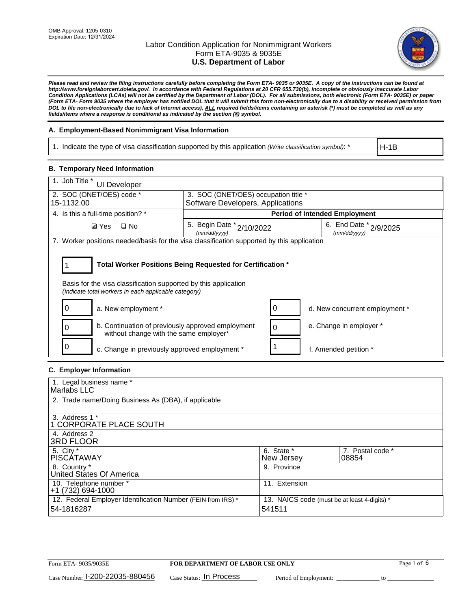

*Please read and review the filing instructions carefully before completing the Form ETA- 9035 or 9035E. A copy of the instructions can be found at http://www.foreignlaborcert.doleta.gov/. In accordance with Federal Regulations at 20 CFR 655.730(b), incomplete or obviously inaccurate Labor Condition Applications (LCAs) will not be certified by the Department of Labor (DOL). For all submissions, both electronic (Form ETA- 9035E) or paper (Form ETA- Form 9035 where the employer has notified DOL that it will submit this form non-electronically due to a disability or received permission from DOL to file non-electronically due to lack of Internet access), ALL required fields/items containing an asterisk (\*) must be completed as well as any fields/items where a response is conditional as indicated by the section (§) symbol.* 

### **A. Employment-Based Nonimmigrant Visa Information**

1. Indicate the type of visa classification supported by this application *(Write classification symbol)*: \*

H-1B

### **B. Temporary Need Information**

| 1. Job Title *<br><b>UI Developer</b>                                                                                                                                                 |                                                                                         |                                      |  |  |  |  |
|---------------------------------------------------------------------------------------------------------------------------------------------------------------------------------------|-----------------------------------------------------------------------------------------|--------------------------------------|--|--|--|--|
| 2. SOC (ONET/OES) code *                                                                                                                                                              | 3. SOC (ONET/OES) occupation title *                                                    |                                      |  |  |  |  |
| 15-1132.00                                                                                                                                                                            | Software Developers, Applications                                                       |                                      |  |  |  |  |
| 4. Is this a full-time position? *                                                                                                                                                    |                                                                                         | <b>Period of Intended Employment</b> |  |  |  |  |
| $\square$ No<br><b>Ø</b> Yes                                                                                                                                                          | 6. End Date * 2/9/2025<br>5. Begin Date $x^*$ 2/10/2022<br>(mm/dd/yyyy)<br>(mm/dd/yyyy) |                                      |  |  |  |  |
| 7. Worker positions needed/basis for the visa classification supported by this application                                                                                            |                                                                                         |                                      |  |  |  |  |
| Total Worker Positions Being Requested for Certification *<br>Basis for the visa classification supported by this application<br>(indicate total workers in each applicable category) |                                                                                         |                                      |  |  |  |  |
| a. New employment *                                                                                                                                                                   |                                                                                         | d. New concurrent employment *       |  |  |  |  |
| b. Continuation of previously approved employment<br>without change with the same employer*                                                                                           |                                                                                         | e. Change in employer *              |  |  |  |  |
| c. Change in previously approved employment *                                                                                                                                         |                                                                                         | f. Amended petition *                |  |  |  |  |

### **C. Employer Information**

| 1. Legal business name *                                     |                                              |                  |
|--------------------------------------------------------------|----------------------------------------------|------------------|
| Marlabs LLC                                                  |                                              |                  |
| 2. Trade name/Doing Business As (DBA), if applicable         |                                              |                  |
|                                                              |                                              |                  |
| 3. Address 1 *                                               |                                              |                  |
| 1 CORPORATE PLACE SOUTH                                      |                                              |                  |
| 4. Address 2                                                 |                                              |                  |
| <b>3RD FLOOR</b>                                             |                                              |                  |
| 5. City *                                                    | 6. State *                                   | 7. Postal code * |
| PISCÁTAWAY                                                   | New Jersey                                   | 08854            |
| 8. Country *                                                 | 9. Province                                  |                  |
| United States Of America                                     |                                              |                  |
| 10. Telephone number *                                       | 11. Extension                                |                  |
| $+1(732)694-1000$                                            |                                              |                  |
| 12. Federal Employer Identification Number (FEIN from IRS) * | 13. NAICS code (must be at least 4-digits) * |                  |
| 54-1816287                                                   | 541511                                       |                  |
|                                                              |                                              |                  |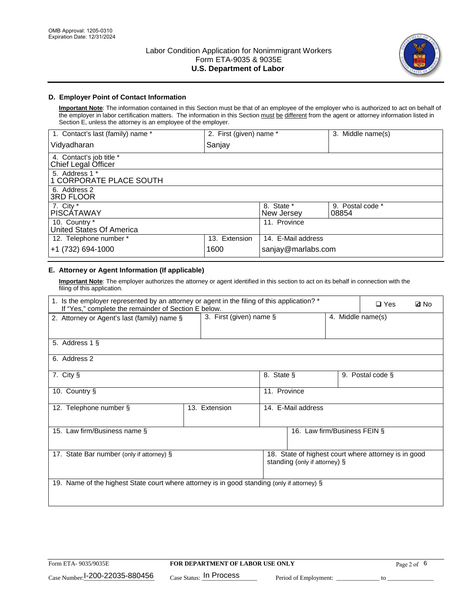

### **D. Employer Point of Contact Information**

**Important Note**: The information contained in this Section must be that of an employee of the employer who is authorized to act on behalf of the employer in labor certification matters. The information in this Section must be different from the agent or attorney information listed in Section E, unless the attorney is an employee of the employer.

| 1. Contact's last (family) name *               | 2. First (given) name * |                          | 3. Middle name(s)         |
|-------------------------------------------------|-------------------------|--------------------------|---------------------------|
| Vidyadharan                                     | Sanjay                  |                          |                           |
| 4. Contact's job title *<br>Chief Legal Officer |                         |                          |                           |
| 5. Address 1 *<br>1 CORPORATE PLACE SOUTH       |                         |                          |                           |
| 6. Address 2<br><b>3RD FLOOR</b>                |                         |                          |                           |
| 7. City *<br><b>PISCÁTAWAY</b>                  |                         | 8. State *<br>New Jersey | 9. Postal code *<br>08854 |
| 10. Country *<br>United States Of America       |                         | 11. Province             |                           |
| 12. Telephone number *                          | 13. Extension           | 14. E-Mail address       |                           |
| +1 (732) 694-1000                               | 1600                    | sanjay@marlabs.com       |                           |

## **E. Attorney or Agent Information (If applicable)**

**Important Note**: The employer authorizes the attorney or agent identified in this section to act on its behalf in connection with the filing of this application.

| 1. Is the employer represented by an attorney or agent in the filing of this application? *<br>If "Yes," complete the remainder of Section E below. |               | $\Box$ Yes                                   | <b>ØNo</b>                    |  |                                                      |  |
|-----------------------------------------------------------------------------------------------------------------------------------------------------|---------------|----------------------------------------------|-------------------------------|--|------------------------------------------------------|--|
| 2. Attorney or Agent's last (family) name §                                                                                                         |               | 3. First (given) name §<br>4. Middle name(s) |                               |  |                                                      |  |
| 5. Address 1 §                                                                                                                                      |               |                                              |                               |  |                                                      |  |
| 6. Address 2                                                                                                                                        |               |                                              |                               |  |                                                      |  |
| 7. City §                                                                                                                                           |               | 8. State §                                   |                               |  | 9. Postal code §                                     |  |
| 10. Country §                                                                                                                                       |               | 11. Province                                 |                               |  |                                                      |  |
| 12. Telephone number §                                                                                                                              | 13. Extension |                                              | 14. E-Mail address            |  |                                                      |  |
| 15. Law firm/Business name §                                                                                                                        |               |                                              | 16. Law firm/Business FEIN §  |  |                                                      |  |
| 17. State Bar number (only if attorney) §                                                                                                           |               |                                              | standing (only if attorney) § |  | 18. State of highest court where attorney is in good |  |
| 19. Name of the highest State court where attorney is in good standing (only if attorney) §                                                         |               |                                              |                               |  |                                                      |  |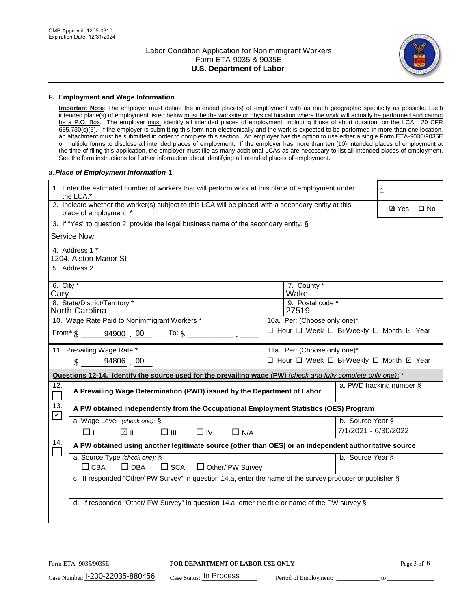

#### **F. Employment and Wage Information**

**Important Note**: The employer must define the intended place(s) of employment with as much geographic specificity as possible. Each intended place(s) of employment listed below must be the worksite or physical location where the work will actually be performed and cannot be a P.O. Box. The employer must identify all intended places of employment, including those of short duration, on the LCA. 20 CFR 655.730(c)(5). If the employer is submitting this form non-electronically and the work is expected to be performed in more than one location, an attachment must be submitted in order to complete this section. An employer has the option to use either a single Form ETA-9035/9035E or multiple forms to disclose all intended places of employment. If the employer has more than ten (10) intended places of employment at the time of filing this application, the employer must file as many additional LCAs as are necessary to list all intended places of employment. See the form instructions for further information about identifying all intended places of employment.

### a.*Place of Employment Information* 1

|                                                                              | 1. Enter the estimated number of workers that will perform work at this place of employment under<br>the LCA.*                 |  |                                          |                      |                          |              |  |
|------------------------------------------------------------------------------|--------------------------------------------------------------------------------------------------------------------------------|--|------------------------------------------|----------------------|--------------------------|--------------|--|
|                                                                              | 2. Indicate whether the worker(s) subject to this LCA will be placed with a secondary entity at this<br>place of employment. * |  |                                          |                      | <b>Ø</b> Yes             | $\square$ No |  |
|                                                                              | 3. If "Yes" to question 2, provide the legal business name of the secondary entity. §                                          |  |                                          |                      |                          |              |  |
|                                                                              | <b>Service Now</b>                                                                                                             |  |                                          |                      |                          |              |  |
|                                                                              | 4. Address 1 *<br>1204, Alston Manor St                                                                                        |  |                                          |                      |                          |              |  |
|                                                                              | 5. Address 2                                                                                                                   |  |                                          |                      |                          |              |  |
| Cary                                                                         | 6. City $*$<br>7. County *<br>Wake                                                                                             |  |                                          |                      |                          |              |  |
|                                                                              | 8. State/District/Territory *<br>9. Postal code *<br><b>North Carolina</b><br>27519                                            |  |                                          |                      |                          |              |  |
| 10. Wage Rate Paid to Nonimmigrant Workers *<br>10a. Per: (Choose only one)* |                                                                                                                                |  |                                          |                      |                          |              |  |
|                                                                              | □ Hour □ Week □ Bi-Weekly □ Month ☑ Year<br>From * \$ 94900 00<br>To: $$$                                                      |  |                                          |                      |                          |              |  |
|                                                                              | 11. Prevailing Wage Rate *                                                                                                     |  | 11a. Per: (Choose only one)*             |                      |                          |              |  |
|                                                                              | 94806 00<br>$\mathbf{\$}$                                                                                                      |  | □ Hour □ Week □ Bi-Weekly □ Month ☑ Year |                      |                          |              |  |
|                                                                              | Questions 12-14. Identify the source used for the prevailing wage (PW) (check and fully complete only one): *                  |  |                                          |                      |                          |              |  |
| 12.                                                                          | A Prevailing Wage Determination (PWD) issued by the Department of Labor                                                        |  |                                          |                      | a. PWD tracking number § |              |  |
| 13.                                                                          | A PW obtained independently from the Occupational Employment Statistics (OES) Program                                          |  |                                          |                      |                          |              |  |
| $\mathbf v$                                                                  | a. Wage Level (check one): §                                                                                                   |  |                                          | b. Source Year §     |                          |              |  |
|                                                                              | பெ<br>$\square$ $\square$<br>$\Box$ IV<br>$\Box$ N/A<br>□⊥                                                                     |  |                                          | 7/1/2021 - 6/30/2022 |                          |              |  |
| 14.                                                                          | A PW obtained using another legitimate source (other than OES) or an independent authoritative source                          |  |                                          |                      |                          |              |  |
|                                                                              | a. Source Type (check one): §<br>b. Source Year §<br>$\Box$ CBA<br>$\Box$ DBA<br>$\square$ SCA<br>$\Box$ Other/ PW Survey      |  |                                          |                      |                          |              |  |
|                                                                              | c. If responded "Other/ PW Survey" in question 14.a, enter the name of the survey producer or publisher §                      |  |                                          |                      |                          |              |  |
|                                                                              | d. If responded "Other/ PW Survey" in question 14.a, enter the title or name of the PW survey §                                |  |                                          |                      |                          |              |  |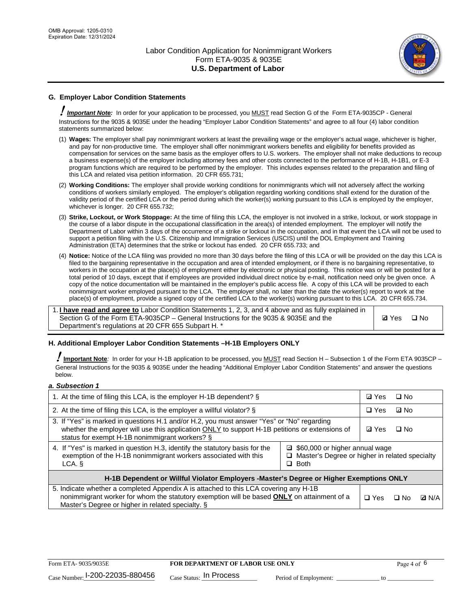

### **G. Employer Labor Condition Statements**

! *Important Note:* In order for your application to be processed, you MUST read Section G of the Form ETA-9035CP - General Instructions for the 9035 & 9035E under the heading "Employer Labor Condition Statements" and agree to all four (4) labor condition statements summarized below:

- (1) **Wages:** The employer shall pay nonimmigrant workers at least the prevailing wage or the employer's actual wage, whichever is higher, and pay for non-productive time. The employer shall offer nonimmigrant workers benefits and eligibility for benefits provided as compensation for services on the same basis as the employer offers to U.S. workers. The employer shall not make deductions to recoup a business expense(s) of the employer including attorney fees and other costs connected to the performance of H-1B, H-1B1, or E-3 program functions which are required to be performed by the employer. This includes expenses related to the preparation and filing of this LCA and related visa petition information. 20 CFR 655.731;
- (2) **Working Conditions:** The employer shall provide working conditions for nonimmigrants which will not adversely affect the working conditions of workers similarly employed. The employer's obligation regarding working conditions shall extend for the duration of the validity period of the certified LCA or the period during which the worker(s) working pursuant to this LCA is employed by the employer, whichever is longer. 20 CFR 655.732;
- (3) **Strike, Lockout, or Work Stoppage:** At the time of filing this LCA, the employer is not involved in a strike, lockout, or work stoppage in the course of a labor dispute in the occupational classification in the area(s) of intended employment. The employer will notify the Department of Labor within 3 days of the occurrence of a strike or lockout in the occupation, and in that event the LCA will not be used to support a petition filing with the U.S. Citizenship and Immigration Services (USCIS) until the DOL Employment and Training Administration (ETA) determines that the strike or lockout has ended. 20 CFR 655.733; and
- (4) **Notice:** Notice of the LCA filing was provided no more than 30 days before the filing of this LCA or will be provided on the day this LCA is filed to the bargaining representative in the occupation and area of intended employment, or if there is no bargaining representative, to workers in the occupation at the place(s) of employment either by electronic or physical posting. This notice was or will be posted for a total period of 10 days, except that if employees are provided individual direct notice by e-mail, notification need only be given once. A copy of the notice documentation will be maintained in the employer's public access file. A copy of this LCA will be provided to each nonimmigrant worker employed pursuant to the LCA. The employer shall, no later than the date the worker(s) report to work at the place(s) of employment, provide a signed copy of the certified LCA to the worker(s) working pursuant to this LCA. 20 CFR 655.734.

1. **I have read and agree to** Labor Condition Statements 1, 2, 3, and 4 above and as fully explained in Section G of the Form ETA-9035CP – General Instructions for the 9035 & 9035E and the Department's regulations at 20 CFR 655 Subpart H. \*

**Ø**Yes ロNo

### **H. Additional Employer Labor Condition Statements –H-1B Employers ONLY**

!**Important Note***:* In order for your H-1B application to be processed, you MUST read Section H – Subsection 1 of the Form ETA 9035CP – General Instructions for the 9035 & 9035E under the heading "Additional Employer Labor Condition Statements" and answer the questions below.

#### *a. Subsection 1*

| 1. At the time of filing this LCA, is the employer H-1B dependent? §                                                                                                                                                                                          | ⊡ Yes | □ No |           |              |
|---------------------------------------------------------------------------------------------------------------------------------------------------------------------------------------------------------------------------------------------------------------|-------|------|-----------|--------------|
| 2. At the time of filing this LCA, is the employer a willful violator? $\S$                                                                                                                                                                                   |       |      | ⊡ No      |              |
| 3. If "Yes" is marked in questions H.1 and/or H.2, you must answer "Yes" or "No" regarding<br>whether the employer will use this application ONLY to support H-1B petitions or extensions of<br>status for exempt H-1B nonimmigrant workers? §                |       |      | $\Box$ No |              |
| 4. If "Yes" is marked in question H.3, identify the statutory basis for the<br>□ \$60,000 or higher annual wage<br>exemption of the H-1B nonimmigrant workers associated with this<br>□ Master's Degree or higher in related specialty<br>$\Box$ Both<br>LCA. |       |      |           |              |
| H-1B Dependent or Willful Violator Employers -Master's Degree or Higher Exemptions ONLY                                                                                                                                                                       |       |      |           |              |
| 5. Indicate whether a completed Appendix A is attached to this LCA covering any H-1B<br>nonimmigrant worker for whom the statutory exemption will be based <b>ONLY</b> on attainment of a<br>Master's Degree or higher in related specialty. §                |       |      | ⊟ No      | <b>D</b> N/A |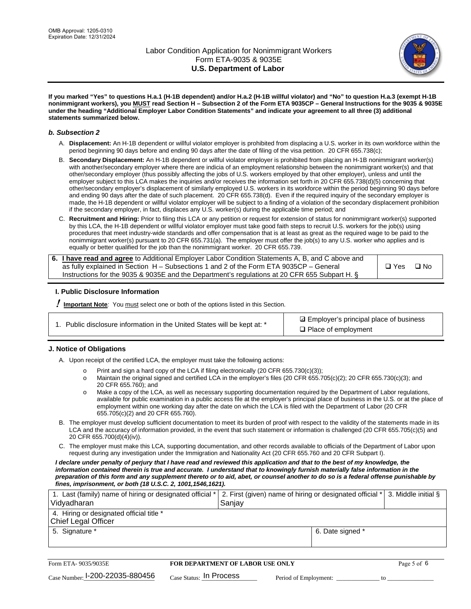

**If you marked "Yes" to questions H.a.1 (H-1B dependent) and/or H.a.2 (H-1B willful violator) and "No" to question H.a.3 (exempt H-1B nonimmigrant workers), you MUST read Section H – Subsection 2 of the Form ETA 9035CP – General Instructions for the 9035 & 9035E under the heading "Additional Employer Labor Condition Statements" and indicate your agreement to all three (3) additional statements summarized below.**

#### *b. Subsection 2*

- A. **Displacement:** An H-1B dependent or willful violator employer is prohibited from displacing a U.S. worker in its own workforce within the period beginning 90 days before and ending 90 days after the date of filing of the visa petition. 20 CFR 655.738(c);
- B. **Secondary Displacement:** An H-1B dependent or willful violator employer is prohibited from placing an H-1B nonimmigrant worker(s) with another/secondary employer where there are indicia of an employment relationship between the nonimmigrant worker(s) and that other/secondary employer (thus possibly affecting the jobs of U.S. workers employed by that other employer), unless and until the employer subject to this LCA makes the inquiries and/or receives the information set forth in 20 CFR 655.738(d)(5) concerning that other/secondary employer's displacement of similarly employed U.S. workers in its workforce within the period beginning 90 days before and ending 90 days after the date of such placement. 20 CFR 655.738(d). Even if the required inquiry of the secondary employer is made, the H-1B dependent or willful violator employer will be subject to a finding of a violation of the secondary displacement prohibition if the secondary employer, in fact, displaces any U.S. worker(s) during the applicable time period; and
- C. **Recruitment and Hiring:** Prior to filing this LCA or any petition or request for extension of status for nonimmigrant worker(s) supported by this LCA, the H-1B dependent or willful violator employer must take good faith steps to recruit U.S. workers for the job(s) using procedures that meet industry-wide standards and offer compensation that is at least as great as the required wage to be paid to the nonimmigrant worker(s) pursuant to 20 CFR 655.731(a). The employer must offer the job(s) to any U.S. worker who applies and is equally or better qualified for the job than the nonimmigrant worker. 20 CFR 655.739.

| 6. I have read and agree to Additional Employer Labor Condition Statements A, B, and C above and |       |           |
|--------------------------------------------------------------------------------------------------|-------|-----------|
| as fully explained in Section H – Subsections 1 and 2 of the Form ETA 9035CP – General           | □ Yes | $\Box$ No |
| Instructions for the 9035 & 9035E and the Department's regulations at 20 CFR 655 Subpart H. §    |       |           |

### **I. Public Disclosure Information**

! **Important Note***:* You must select one or both of the options listed in this Section.

|  | 1. Public disclosure information in the United States will be kept at: * |  |  |  |
|--|--------------------------------------------------------------------------|--|--|--|
|  |                                                                          |  |  |  |

**sqrt** Employer's principal place of business □ Place of employment

### **J. Notice of Obligations**

A. Upon receipt of the certified LCA, the employer must take the following actions:

- o Print and sign a hard copy of the LCA if filing electronically (20 CFR 655.730(c)(3));<br>
Maintain the original signed and certified LCA in the employer's files (20 CFR 655.7
- Maintain the original signed and certified LCA in the employer's files (20 CFR 655.705(c)(2); 20 CFR 655.730(c)(3); and 20 CFR 655.760); and
- o Make a copy of the LCA, as well as necessary supporting documentation required by the Department of Labor regulations, available for public examination in a public access file at the employer's principal place of business in the U.S. or at the place of employment within one working day after the date on which the LCA is filed with the Department of Labor (20 CFR 655.705(c)(2) and 20 CFR 655.760).
- B. The employer must develop sufficient documentation to meet its burden of proof with respect to the validity of the statements made in its LCA and the accuracy of information provided, in the event that such statement or information is challenged (20 CFR 655.705(c)(5) and 20 CFR 655.700(d)(4)(iv)).
- C. The employer must make this LCA, supporting documentation, and other records available to officials of the Department of Labor upon request during any investigation under the Immigration and Nationality Act (20 CFR 655.760 and 20 CFR Subpart I).

*I declare under penalty of perjury that I have read and reviewed this application and that to the best of my knowledge, the*  information contained therein is true and accurate. I understand that to knowingly furnish materially false information in the *preparation of this form and any supplement thereto or to aid, abet, or counsel another to do so is a federal offense punishable by fines, imprisonment, or both (18 U.S.C. 2, 1001,1546,1621).*

| 1. Last (family) name of hiring or designated official *<br>Vidyadharan | 2. First (given) name of hiring or designated official * 3. Middle initial §<br>Sanjay |                  |  |
|-------------------------------------------------------------------------|----------------------------------------------------------------------------------------|------------------|--|
| 4. Hiring or designated official title *<br>Chief Legal Officer         |                                                                                        |                  |  |
| 5. Signature *                                                          |                                                                                        | 6. Date signed * |  |

| Form ETA-9035/9035E                         | <b>FOR DEPARTMENT OF LABOR USE ONLY</b> |                       |  |
|---------------------------------------------|-----------------------------------------|-----------------------|--|
| $_{\text{Case Number:}}$ I-200-22035-880456 | $_{\text{Case Status:}}$ In Process     | Period of Employment: |  |